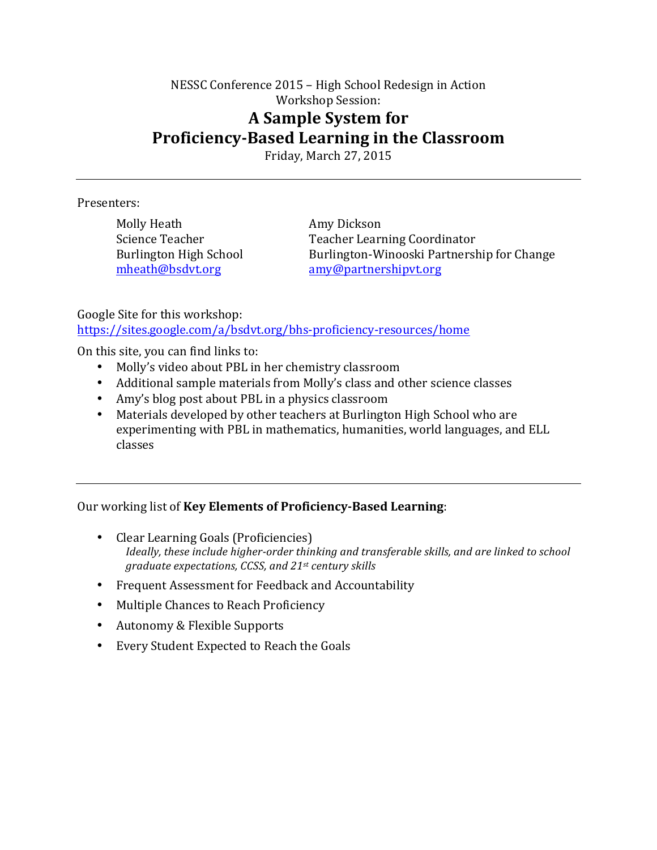## NESSC Conference 2015 – High School Redesign in Action Workshop Session: **A Sample System for Proficiency-Based Learning in the Classroom**

Friday, March 27, 2015

### Presenters:

Molly Heath **Amy Dickson** 

Science Teacher Teacher Teacher Learning Coordinator Burlington High School Burlington-Winooski Partnership for Change mheath@bsdvt.org amy@partnershipvt.org

Google Site for this workshop: https://sites.google.com/a/bsdvt.org/bhs-proficiency-resources/home

On this site, you can find links to:

- Molly's video about PBL in her chemistry classroom
- Additional sample materials from Molly's class and other science classes
- Amy's blog post about PBL in a physics classroom
- Materials developed by other teachers at Burlington High School who are experimenting with PBL in mathematics, humanities, world languages, and ELL classes

Our working list of **Key Elements of Proficiency-Based Learning**:

- Clear Learning Goals (Proficiencies) *Ideally, these include higher-order thinking and transferable skills, and are linked to school graduate expectations, CCSS, and 21st century skills*
- Frequent Assessment for Feedback and Accountability
- Multiple Chances to Reach Proficiency
- Autonomy & Flexible Supports
- Every Student Expected to Reach the Goals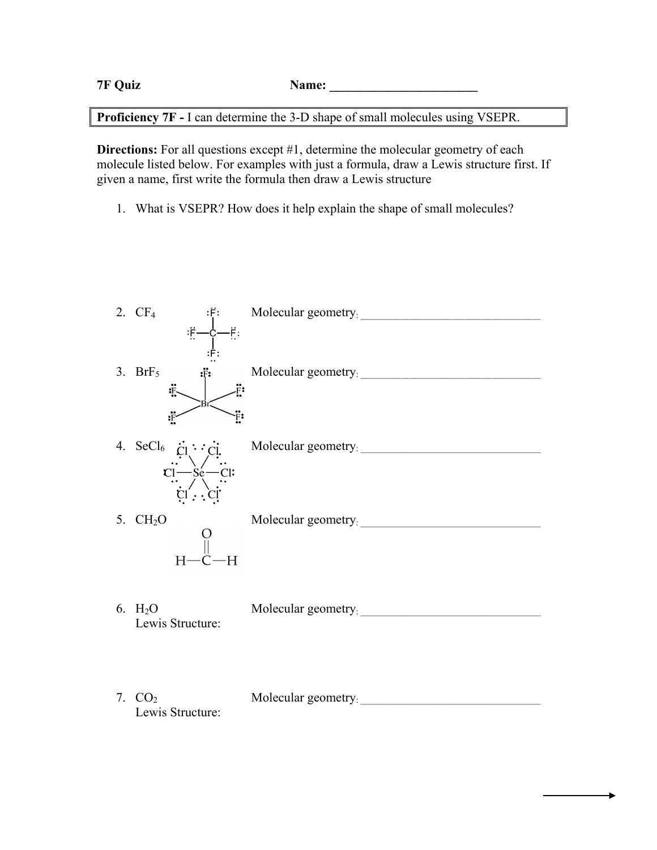| <b>7F Quiz</b> | Name: |
|----------------|-------|
|                |       |

**Proficiency 7F -** I can determine the 3-D shape of small molecules using VSEPR.

**Directions:** For all questions except #1, determine the molecular geometry of each molecule listed below. For examples with just a formula, draw a Lewis structure first. If given a name, first write the formula then draw a Lewis structure

1. What is VSEPR? How does it help explain the shape of small molecules?

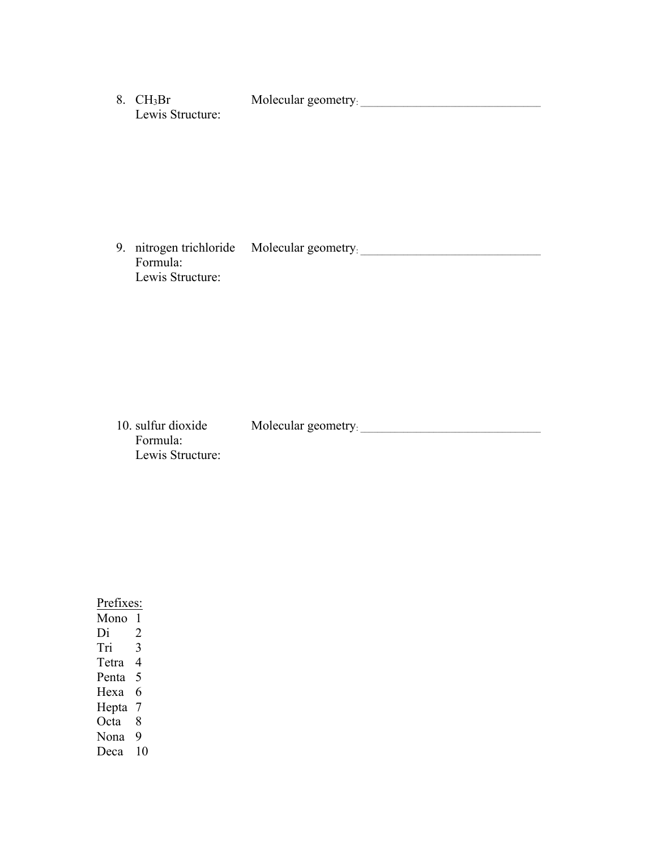8. CH<sub>3</sub>Br Molecular geometry. Lewis Structure:

9. nitrogen trichloride Molecular geometry: Formula: Lewis Structure:

10. sulfur dioxide Molecular geometry: \_\_\_\_\_\_\_\_\_\_\_\_\_\_\_\_\_\_\_\_\_\_\_\_\_\_\_\_\_\_\_\_\_\_\_\_\_\_\_\_\_\_ Formula: Lewis Structure:

Prefixes:  $\frac{\overline{Mono} \quad 1}{\overline{Di} \quad 2}$  $\overline{2}$ Tri 3 Tetra 4 Penta 5 Hexa 6 Hepta 7 Octa 8 Nona 9 Deca 10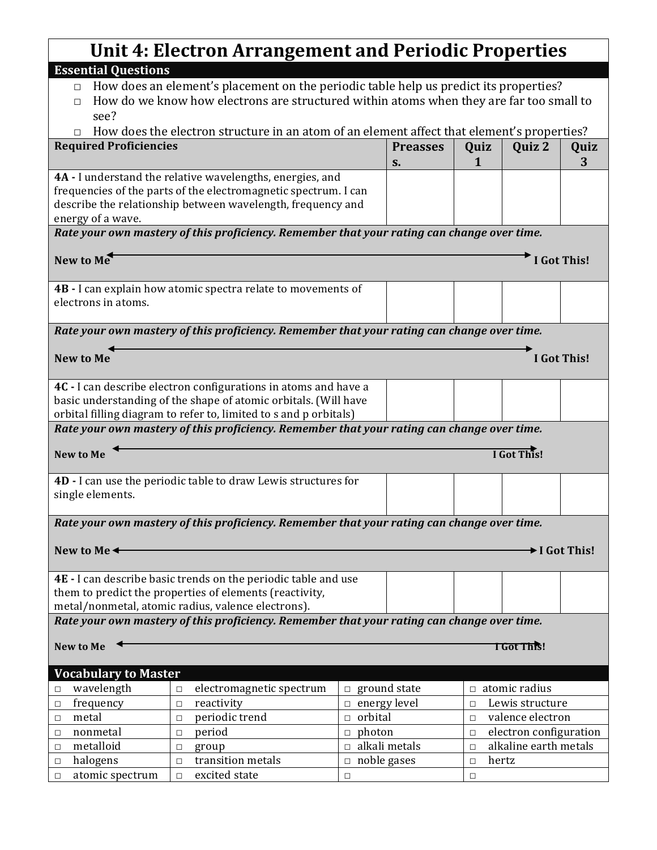## **Unit 4: Electron Arrangement and Periodic Properties**

 $\overline{\phantom{a}}$ 

| <b>Unit 4: Electron Arrangement and Periodic Properties</b>                                |                                                                                            |                                       |                                                    |             |  |  |
|--------------------------------------------------------------------------------------------|--------------------------------------------------------------------------------------------|---------------------------------------|----------------------------------------------------|-------------|--|--|
| <b>Essential Questions</b>                                                                 |                                                                                            |                                       |                                                    |             |  |  |
| $\Box$                                                                                     | How does an element's placement on the periodic table help us predict its properties?      |                                       |                                                    |             |  |  |
| $\Box$                                                                                     | How do we know how electrons are structured within atoms when they are far too small to    |                                       |                                                    |             |  |  |
| see?                                                                                       |                                                                                            |                                       |                                                    |             |  |  |
|                                                                                            | How does the electron structure in an atom of an element affect that element's properties? |                                       |                                                    |             |  |  |
| <b>Required Proficiencies</b>                                                              |                                                                                            | <b>Preasses</b><br>S <sub>1</sub>     | Quiz 2<br>Quiz<br>1                                | Quiz<br>3   |  |  |
|                                                                                            | 4A - I understand the relative wavelengths, energies, and                                  |                                       |                                                    |             |  |  |
|                                                                                            | frequencies of the parts of the electromagnetic spectrum. I can                            |                                       |                                                    |             |  |  |
|                                                                                            | describe the relationship between wavelength, frequency and                                |                                       |                                                    |             |  |  |
| energy of a wave.                                                                          |                                                                                            |                                       |                                                    |             |  |  |
|                                                                                            | Rate your own mastery of this proficiency. Remember that your rating can change over time. |                                       |                                                    |             |  |  |
| New to Me                                                                                  |                                                                                            |                                       |                                                    | I Got This! |  |  |
|                                                                                            |                                                                                            |                                       |                                                    |             |  |  |
|                                                                                            | 4B - I can explain how atomic spectra relate to movements of                               |                                       |                                                    |             |  |  |
| electrons in atoms.                                                                        |                                                                                            |                                       |                                                    |             |  |  |
|                                                                                            | Rate your own mastery of this proficiency. Remember that your rating can change over time. |                                       |                                                    |             |  |  |
|                                                                                            |                                                                                            |                                       |                                                    |             |  |  |
| <b>New to Me</b>                                                                           |                                                                                            |                                       |                                                    | I Got This! |  |  |
|                                                                                            | 4C - I can describe electron configurations in atoms and have a                            |                                       |                                                    |             |  |  |
|                                                                                            | basic understanding of the shape of atomic orbitals. (Will have                            |                                       |                                                    |             |  |  |
|                                                                                            | orbital filling diagram to refer to, limited to s and p orbitals)                          |                                       |                                                    |             |  |  |
|                                                                                            | Rate your own mastery of this proficiency. Remember that your rating can change over time. |                                       |                                                    |             |  |  |
| <b>New to Me</b>                                                                           |                                                                                            |                                       | I Got This!                                        |             |  |  |
|                                                                                            |                                                                                            |                                       |                                                    |             |  |  |
|                                                                                            | 4D - I can use the periodic table to draw Lewis structures for                             |                                       |                                                    |             |  |  |
| single elements.                                                                           |                                                                                            |                                       |                                                    |             |  |  |
| Rate your own mastery of this proficiency. Remember that your rating can change over time. |                                                                                            |                                       |                                                    |             |  |  |
|                                                                                            |                                                                                            |                                       |                                                    |             |  |  |
| New to Me $\triangleleft$<br>→ I Got This!                                                 |                                                                                            |                                       |                                                    |             |  |  |
|                                                                                            | 4E - I can describe basic trends on the periodic table and use                             |                                       |                                                    |             |  |  |
|                                                                                            | them to predict the properties of elements (reactivity,                                    |                                       |                                                    |             |  |  |
| metal/nonmetal, atomic radius, valence electrons).                                         |                                                                                            |                                       |                                                    |             |  |  |
| Rate your own mastery of this proficiency. Remember that your rating can change over time. |                                                                                            |                                       |                                                    |             |  |  |
| <b>New to Me</b><br><b>TGot This!</b>                                                      |                                                                                            |                                       |                                                    |             |  |  |
|                                                                                            |                                                                                            |                                       |                                                    |             |  |  |
| <b>Vocabulary to Master</b>                                                                |                                                                                            |                                       |                                                    |             |  |  |
| wavelength<br>$\Box$                                                                       | electromagnetic spectrum<br>$\Box$                                                         | $\Box$ ground state                   | $\Box$ atomic radius                               |             |  |  |
| frequency<br>$\Box$                                                                        | reactivity<br>$\Box$                                                                       | $\Box$ energy level                   | Lewis structure<br>$\Box$                          |             |  |  |
| metal<br>$\Box$                                                                            | periodic trend<br>$\Box$                                                                   | orbital                               | valence electron<br>$\Box$                         |             |  |  |
| nonmetal<br>$\Box$                                                                         | period<br>$\Box$                                                                           | $\Box$ photon<br>$\Box$ alkali metals | electron configuration<br>$\Box$                   |             |  |  |
| metalloid<br>$\Box$<br>halogens<br>$\Box$                                                  | group<br>$\Box$<br>transition metals<br>$\Box$                                             | $\Box$ noble gases                    | alkaline earth metals<br>$\Box$<br>hertz<br>$\Box$ |             |  |  |
| atomic spectrum<br>$\Box$                                                                  | excited state<br>$\Box$                                                                    | $\Box$                                | $\Box$                                             |             |  |  |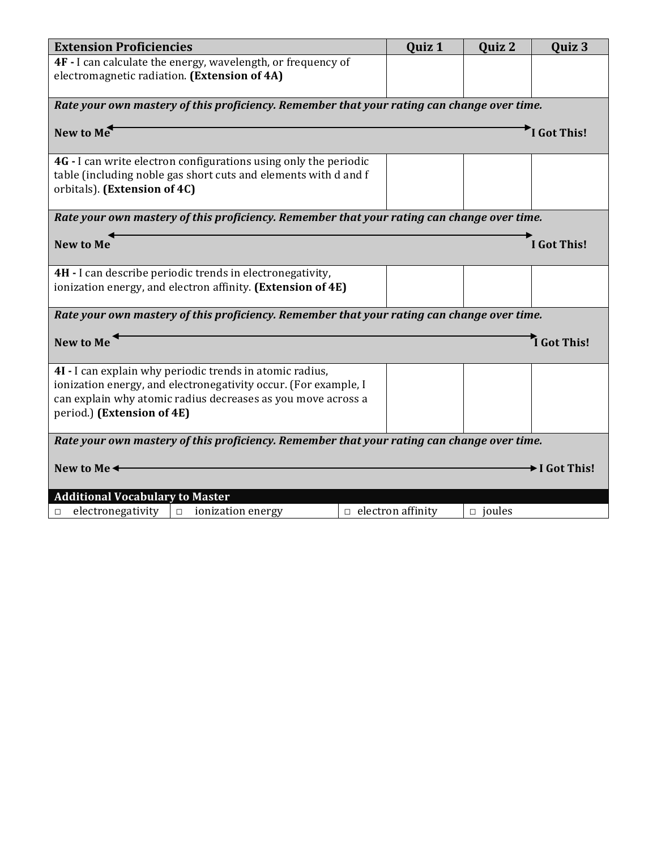| <b>Extension Proficiencies</b>                                                             |                          | Quiz 1 | Quiz 2        | Quiz 3      |  |
|--------------------------------------------------------------------------------------------|--------------------------|--------|---------------|-------------|--|
| 4F - I can calculate the energy, wavelength, or frequency of                               |                          |        |               |             |  |
| electromagnetic radiation. (Extension of 4A)                                               |                          |        |               |             |  |
|                                                                                            |                          |        |               |             |  |
| Rate your own mastery of this proficiency. Remember that your rating can change over time. |                          |        |               |             |  |
| New to Me<br>I Got This!                                                                   |                          |        |               |             |  |
| 4G - I can write electron configurations using only the periodic                           |                          |        |               |             |  |
| table (including noble gas short cuts and elements with d and f                            |                          |        |               |             |  |
| orbitals). (Extension of 4C)                                                               |                          |        |               |             |  |
| Rate your own mastery of this proficiency. Remember that your rating can change over time. |                          |        |               |             |  |
|                                                                                            |                          |        |               |             |  |
| <b>New to Me</b>                                                                           |                          |        |               | I Got This! |  |
| 4H - I can describe periodic trends in electronegativity,                                  |                          |        |               |             |  |
| ionization energy, and electron affinity. (Extension of 4E)                                |                          |        |               |             |  |
| Rate your own mastery of this proficiency. Remember that your rating can change over time. |                          |        |               |             |  |
| I Got This!<br><b>New to Me</b>                                                            |                          |        |               |             |  |
| 4I - I can explain why periodic trends in atomic radius,                                   |                          |        |               |             |  |
| ionization energy, and electronegativity occur. (For example, I                            |                          |        |               |             |  |
| can explain why atomic radius decreases as you move across a                               |                          |        |               |             |  |
| period.) (Extension of 4E)                                                                 |                          |        |               |             |  |
| Rate your own mastery of this proficiency. Remember that your rating can change over time. |                          |        |               |             |  |
| New to Me <sup>4</sup>                                                                     |                          |        |               | I Got This! |  |
|                                                                                            |                          |        |               |             |  |
| <b>Additional Vocabulary to Master</b>                                                     |                          |        |               |             |  |
| electronegativity<br>ionization energy<br>$\Box$<br>□                                      | $\Box$ electron affinity |        | $\Box$ joules |             |  |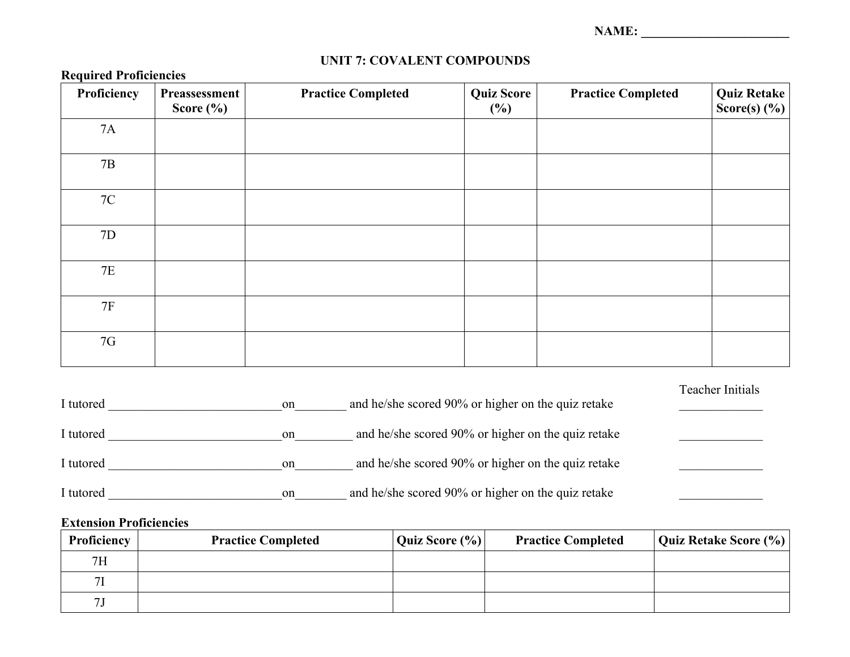**NAME: \_\_\_\_\_\_\_\_\_\_\_\_\_\_\_\_\_\_\_\_\_\_\_**

| Proficiency   | Preassessment<br>Score $(\% )$ | <b>Practice Completed</b> | <b>Quiz Score</b><br>$(\%)$ | <b>Practice Completed</b> | <b>Quiz Retake</b><br>Score(s) $(\% )$ |
|---------------|--------------------------------|---------------------------|-----------------------------|---------------------------|----------------------------------------|
| 7A            |                                |                           |                             |                           |                                        |
| $7\mathrm{B}$ |                                |                           |                             |                           |                                        |
| 7C            |                                |                           |                             |                           |                                        |
| 7D            |                                |                           |                             |                           |                                        |
| $7\mathrm{E}$ |                                |                           |                             |                           |                                        |
| 7F            |                                |                           |                             |                           |                                        |
| 7G            |                                |                           |                             |                           |                                        |

## **UNIT 7: COVALENT COMPOUNDS**

| I tutored | on | and he/she scored 90% or higher on the quiz retake | Teacher Initials |
|-----------|----|----------------------------------------------------|------------------|
| I tutored | on | and he/she scored 90% or higher on the quiz retake |                  |
| I tutored | on | and he/she scored 90% or higher on the quiz retake |                  |
| I tutored | on | and he/she scored 90% or higher on the quiz retake |                  |

## **Extension Proficiencies**

**Required Proficiencies**

| <b>Proficiency</b> | <b>Practice Completed</b> | Quiz Score $(\% )$ | <b>Practice Completed</b> | Quiz Retake Score (%) |
|--------------------|---------------------------|--------------------|---------------------------|-----------------------|
| 7H                 |                           |                    |                           |                       |
| 7I                 |                           |                    |                           |                       |
| 71                 |                           |                    |                           |                       |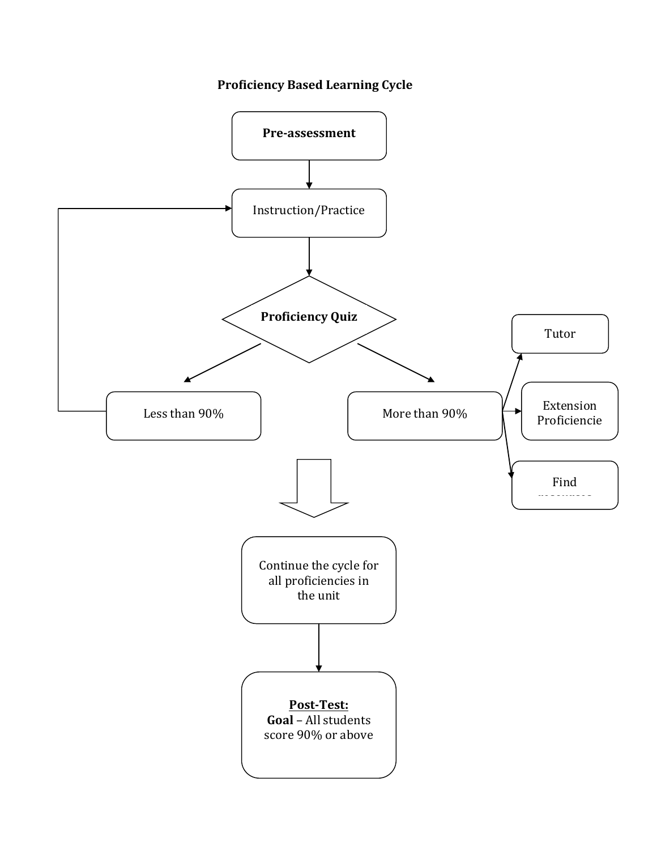## **Proficiency Based Learning Cycle**